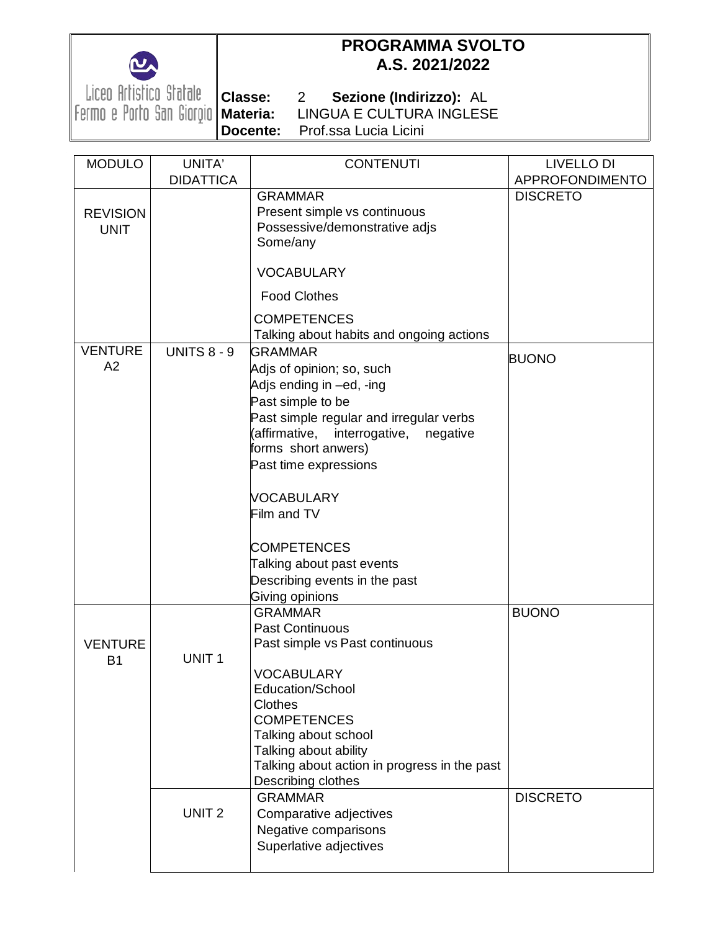

## **PROGRAMMA SVOLTO A.S. 2021/2022**

Liceo Artistico Statale **| classe:**<br>Fermo e Porto San Giorgio | Materia:

**Classe:** 2 **Sezione (Indirizzo):** AL **Materia:** LINGUA E CULTURA INGLESE **Docente:** Prof.ssa Lucia Licini

| <b>MODULO</b>   | UNITA'             | <b>CONTENUTI</b>                             | <b>LIVELLO DI</b> |
|-----------------|--------------------|----------------------------------------------|-------------------|
|                 | <b>DIDATTICA</b>   |                                              | APPROFONDIMENTO   |
|                 |                    | <b>GRAMMAR</b>                               | <b>DISCRETO</b>   |
| <b>REVISION</b> |                    | Present simple vs continuous                 |                   |
| <b>UNIT</b>     |                    | Possessive/demonstrative adjs                |                   |
|                 |                    | Some/any                                     |                   |
|                 |                    |                                              |                   |
|                 |                    | <b>VOCABULARY</b>                            |                   |
|                 |                    | <b>Food Clothes</b>                          |                   |
|                 |                    | <b>COMPETENCES</b>                           |                   |
|                 |                    | Talking about habits and ongoing actions     |                   |
| <b>VENTURE</b>  | <b>UNITS 8 - 9</b> | <b>GRAMMAR</b>                               |                   |
| A2              |                    | Adjs of opinion; so, such                    | <b>BUONO</b>      |
|                 |                    | Adjs ending in -ed, -ing                     |                   |
|                 |                    | Past simple to be                            |                   |
|                 |                    | Past simple regular and irregular verbs      |                   |
|                 |                    | (affirmative,<br>interrogative, negative     |                   |
|                 |                    | forms short anwers)                          |                   |
|                 |                    | Past time expressions                        |                   |
|                 |                    |                                              |                   |
|                 |                    | <b>VOCABULARY</b>                            |                   |
|                 |                    | Film and TV                                  |                   |
|                 |                    | <b>COMPETENCES</b>                           |                   |
|                 |                    | Talking about past events                    |                   |
|                 |                    | Describing events in the past                |                   |
|                 |                    | Giving opinions                              |                   |
|                 |                    | <b>GRAMMAR</b>                               | <b>BUONO</b>      |
|                 |                    | <b>Past Continuous</b>                       |                   |
| <b>VENTURE</b>  |                    | Past simple vs Past continuous               |                   |
| <b>B1</b>       | UNIT <sub>1</sub>  |                                              |                   |
|                 |                    | <b>VOCABULARY</b>                            |                   |
|                 |                    | Education/School                             |                   |
|                 |                    | <b>Clothes</b>                               |                   |
|                 |                    | <b>COMPETENCES</b>                           |                   |
|                 |                    | Talking about school                         |                   |
|                 |                    | Talking about ability                        |                   |
|                 |                    | Talking about action in progress in the past |                   |
|                 |                    | Describing clothes                           |                   |
|                 |                    | <b>GRAMMAR</b>                               | <b>DISCRETO</b>   |
|                 | UNIT <sub>2</sub>  | Comparative adjectives                       |                   |
|                 |                    | Negative comparisons                         |                   |
|                 |                    | Superlative adjectives                       |                   |
|                 |                    |                                              |                   |